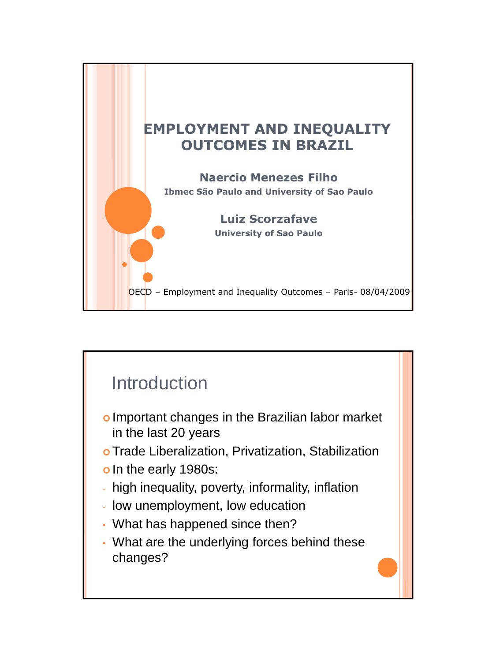

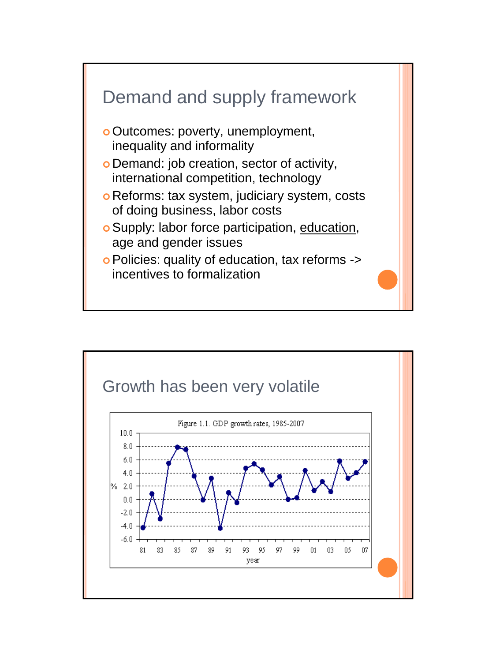

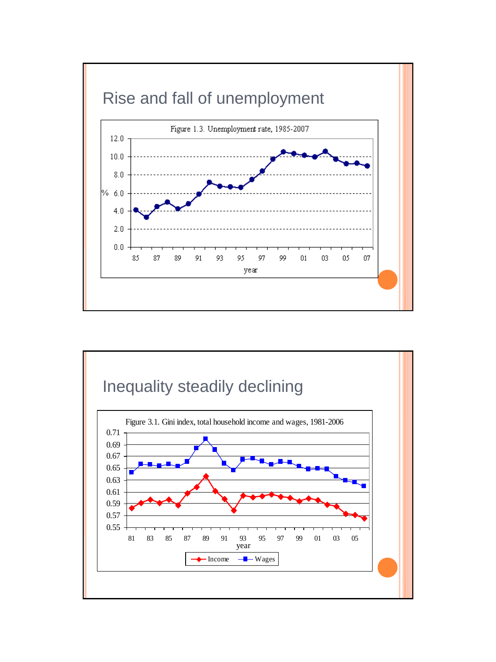

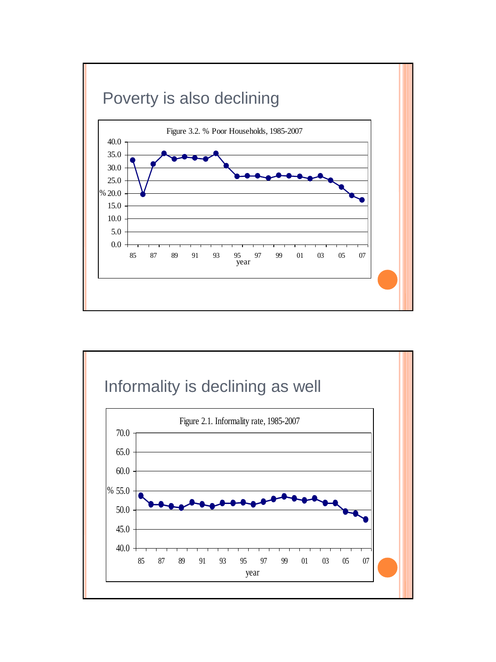

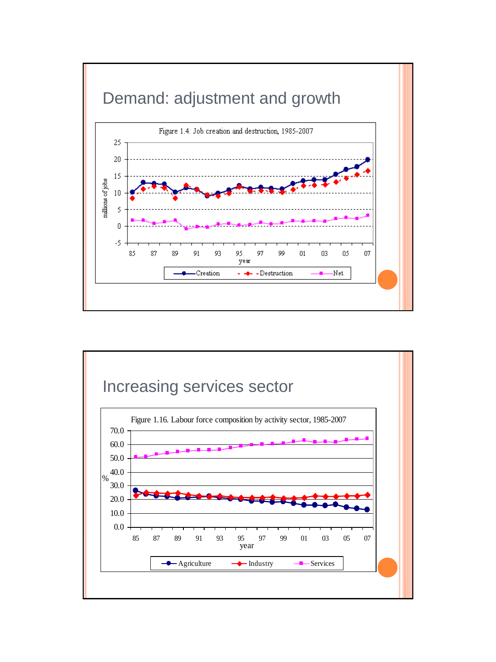

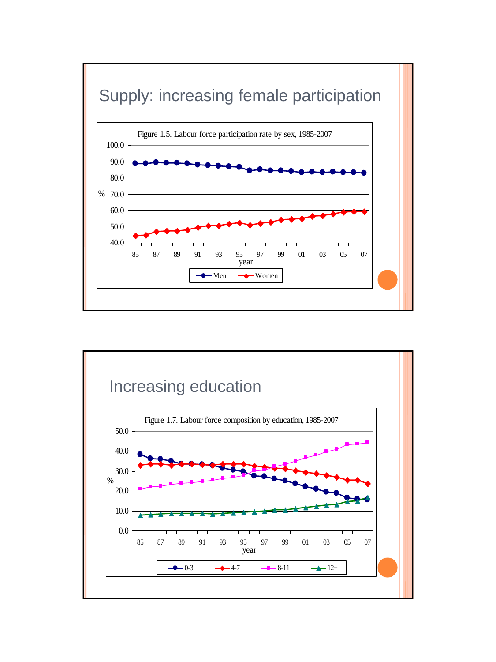

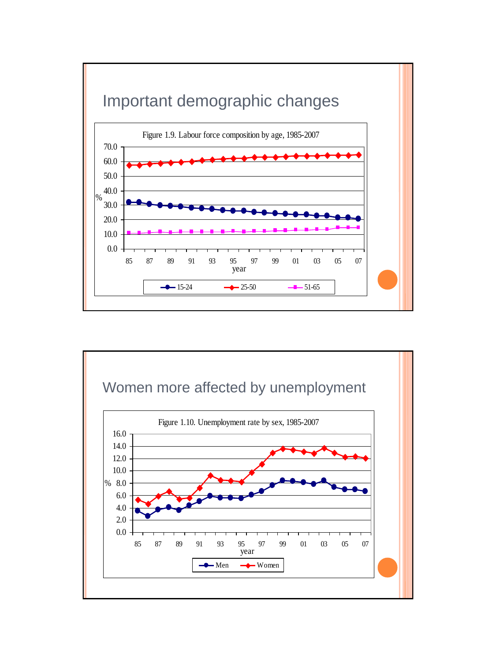

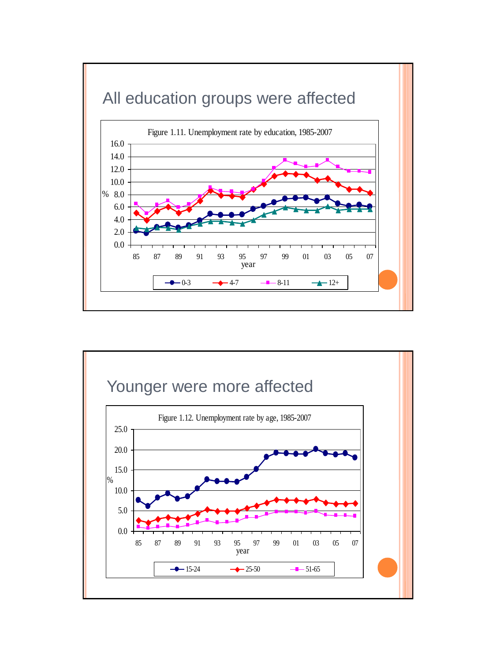

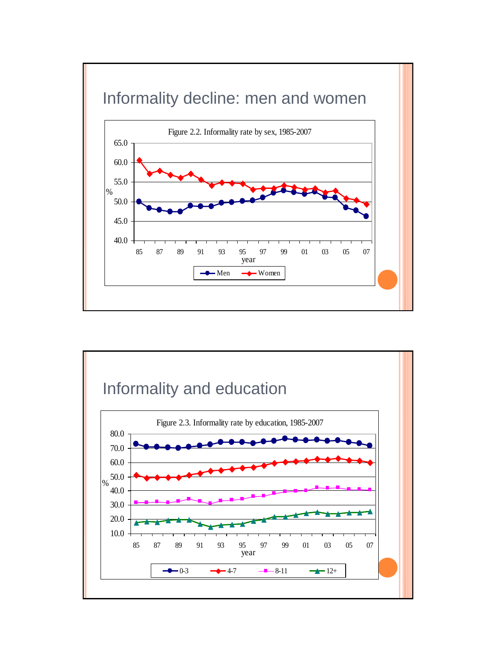

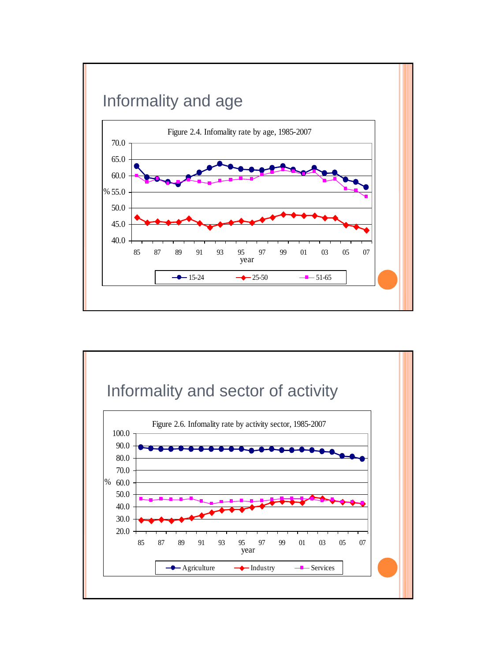

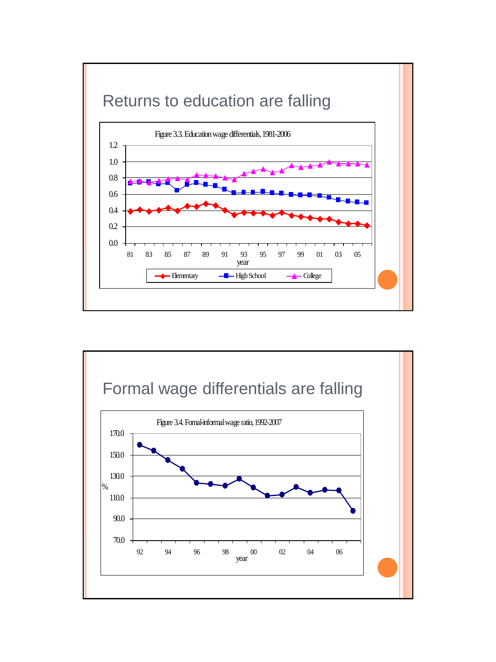

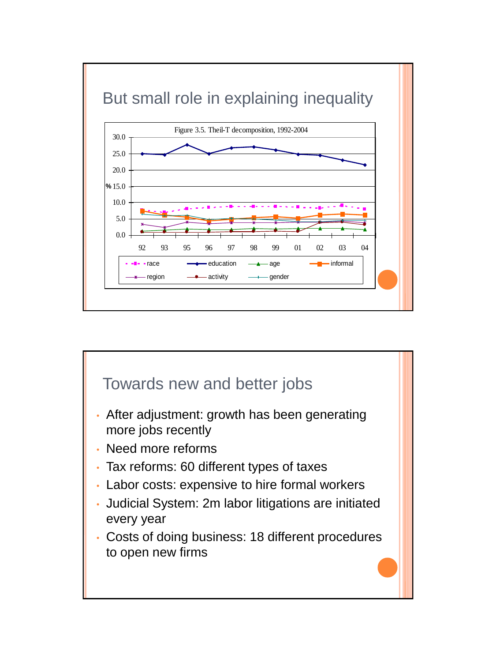